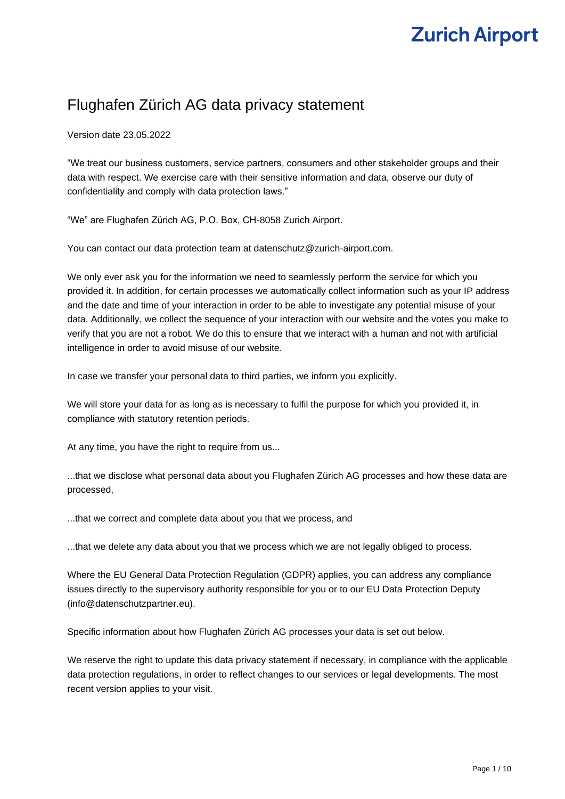# **Zurich Airport**

# Flughafen Zürich AG data privacy statement

Version date 23.05.2022

"We treat our business customers, service partners, consumers and other stakeholder groups and their data with respect. We exercise care with their sensitive information and data, observe our duty of confidentiality and comply with data protection laws."

"We" are Flughafen Zürich AG, P.O. Box, CH-8058 Zurich Airport.

You can contact our data protection team at datenschutz@zurich-airport.com.

We only ever ask you for the information we need to seamlessly perform the service for which you provided it. In addition, for certain processes we automatically collect information such as your IP address and the date and time of your interaction in order to be able to investigate any potential misuse of your data. Additionally, we collect the sequence of your interaction with our website and the votes you make to verify that you are not a robot. We do this to ensure that we interact with a human and not with artificial intelligence in order to avoid misuse of our website.

In case we transfer your personal data to third parties, we inform you explicitly.

We will store your data for as long as is necessary to fulfil the purpose for which you provided it, in compliance with statutory retention periods.

At any time, you have the right to require from us...

...that we disclose what personal data about you Flughafen Zürich AG processes and how these data are processed,

...that we correct and complete data about you that we process, and

...that we delete any data about you that we process which we are not legally obliged to process.

Where the EU General Data Protection Regulation (GDPR) applies, you can address any compliance issues directly to the supervisory authority responsible for you or to our EU Data Protection Deputy (info@datenschutzpartner.eu).

Specific information about how Flughafen Zürich AG processes your data is set out below.

We reserve the right to update this data privacy statement if necessary, in compliance with the applicable data protection regulations, in order to reflect changes to our services or legal developments. The most recent version applies to your visit.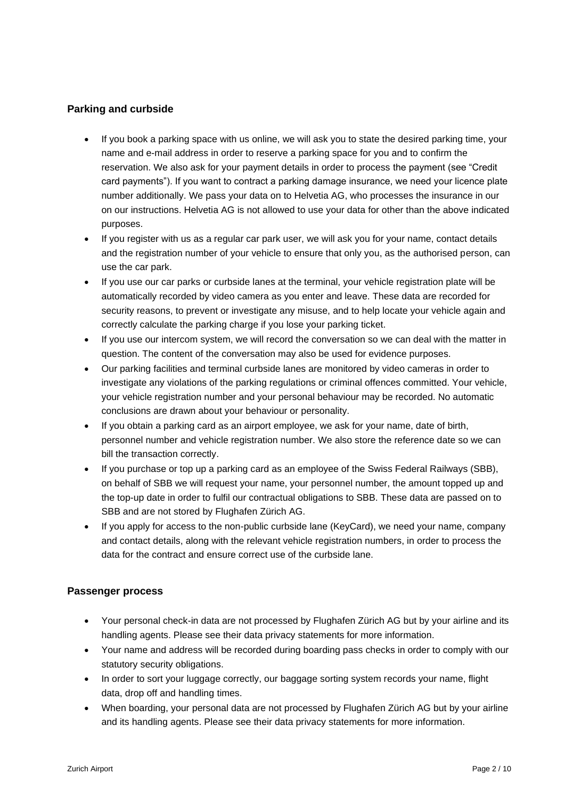### **Parking and curbside**

- If you book a parking space with us online, we will ask you to state the desired parking time, your name and e-mail address in order to reserve a parking space for you and to confirm the reservation. We also ask for your payment details in order to process the payment (see "Credit card payments"). If you want to contract a parking damage insurance, we need your licence plate number additionally. We pass your data on to Helvetia AG, who processes the insurance in our on our instructions. Helvetia AG is not allowed to use your data for other than the above indicated purposes.
- If you register with us as a regular car park user, we will ask you for your name, contact details and the registration number of your vehicle to ensure that only you, as the authorised person, can use the car park.
- If you use our car parks or curbside lanes at the terminal, your vehicle registration plate will be automatically recorded by video camera as you enter and leave. These data are recorded for security reasons, to prevent or investigate any misuse, and to help locate your vehicle again and correctly calculate the parking charge if you lose your parking ticket.
- If you use our intercom system, we will record the conversation so we can deal with the matter in question. The content of the conversation may also be used for evidence purposes.
- Our parking facilities and terminal curbside lanes are monitored by video cameras in order to investigate any violations of the parking regulations or criminal offences committed. Your vehicle, your vehicle registration number and your personal behaviour may be recorded. No automatic conclusions are drawn about your behaviour or personality.
- If you obtain a parking card as an airport employee, we ask for your name, date of birth, personnel number and vehicle registration number. We also store the reference date so we can bill the transaction correctly.
- If you purchase or top up a parking card as an employee of the Swiss Federal Railways (SBB), on behalf of SBB we will request your name, your personnel number, the amount topped up and the top-up date in order to fulfil our contractual obligations to SBB. These data are passed on to SBB and are not stored by Flughafen Zürich AG.
- If you apply for access to the non-public curbside lane (KeyCard), we need your name, company and contact details, along with the relevant vehicle registration numbers, in order to process the data for the contract and ensure correct use of the curbside lane.

#### **Passenger process**

- Your personal check-in data are not processed by Flughafen Zürich AG but by your airline and its handling agents. Please see their data privacy statements for more information.
- Your name and address will be recorded during boarding pass checks in order to comply with our statutory security obligations.
- In order to sort your luggage correctly, our baggage sorting system records your name, flight data, drop off and handling times.
- When boarding, your personal data are not processed by Flughafen Zürich AG but by your airline and its handling agents. Please see their data privacy statements for more information.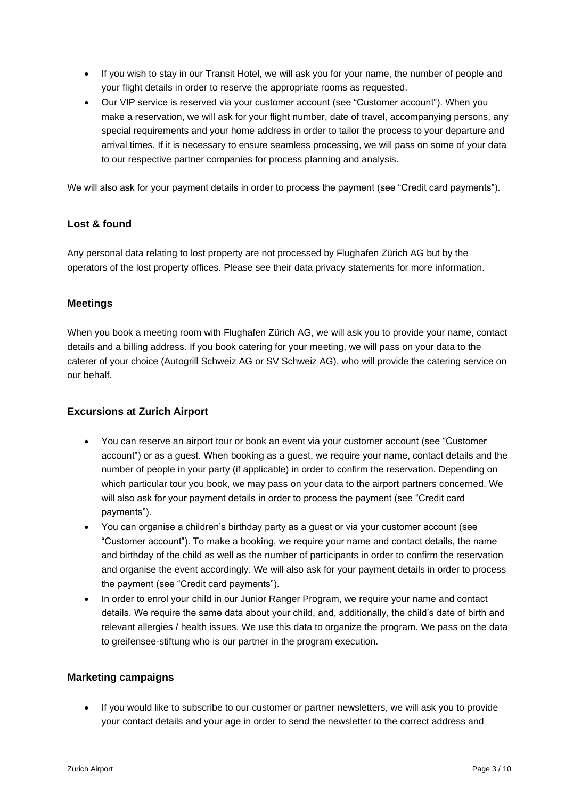- If you wish to stay in our Transit Hotel, we will ask you for your name, the number of people and your flight details in order to reserve the appropriate rooms as requested.
- Our VIP service is reserved via your customer account (see "Customer account"). When you make a reservation, we will ask for your flight number, date of travel, accompanying persons, any special requirements and your home address in order to tailor the process to your departure and arrival times. If it is necessary to ensure seamless processing, we will pass on some of your data to our respective partner companies for process planning and analysis.

We will also ask for your payment details in order to process the payment (see "Credit card payments").

#### **Lost & found**

Any personal data relating to lost property are not processed by Flughafen Zürich AG but by the operators of the lost property offices. Please see their data privacy statements for more information.

#### **Meetings**

When you book a meeting room with Flughafen Zürich AG, we will ask you to provide your name, contact details and a billing address. If you book catering for your meeting, we will pass on your data to the caterer of your choice (Autogrill Schweiz AG or SV Schweiz AG), who will provide the catering service on our behalf.

#### **Excursions at Zurich Airport**

- You can reserve an airport tour or book an event via your customer account (see "Customer account") or as a guest. When booking as a guest, we require your name, contact details and the number of people in your party (if applicable) in order to confirm the reservation. Depending on which particular tour you book, we may pass on your data to the airport partners concerned. We will also ask for your payment details in order to process the payment (see "Credit card payments").
- You can organise a children's birthday party as a guest or via your customer account (see "Customer account"). To make a booking, we require your name and contact details, the name and birthday of the child as well as the number of participants in order to confirm the reservation and organise the event accordingly. We will also ask for your payment details in order to process the payment (see "Credit card payments").
- In order to enrol your child in our Junior Ranger Program, we require your name and contact details. We require the same data about your child, and, additionally, the child's date of birth and relevant allergies / health issues. We use this data to organize the program. We pass on the data to greifensee-stiftung who is our partner in the program execution.

#### **Marketing campaigns**

• If you would like to subscribe to our customer or partner newsletters, we will ask you to provide your contact details and your age in order to send the newsletter to the correct address and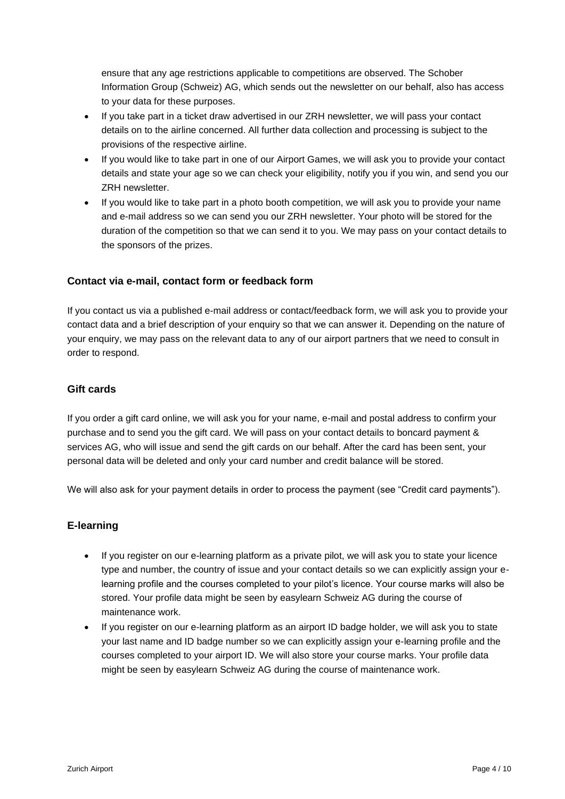ensure that any age restrictions applicable to competitions are observed. The Schober Information Group (Schweiz) AG, which sends out the newsletter on our behalf, also has access to your data for these purposes.

- If you take part in a ticket draw advertised in our ZRH newsletter, we will pass your contact details on to the airline concerned. All further data collection and processing is subject to the provisions of the respective airline.
- If you would like to take part in one of our Airport Games, we will ask you to provide your contact details and state your age so we can check your eligibility, notify you if you win, and send you our ZRH newsletter.
- If you would like to take part in a photo booth competition, we will ask you to provide your name and e-mail address so we can send you our ZRH newsletter. Your photo will be stored for the duration of the competition so that we can send it to you. We may pass on your contact details to the sponsors of the prizes.

#### **Contact via e-mail, contact form or feedback form**

If you contact us via a published e-mail address or contact/feedback form, we will ask you to provide your contact data and a brief description of your enquiry so that we can answer it. Depending on the nature of your enquiry, we may pass on the relevant data to any of our airport partners that we need to consult in order to respond.

# **Gift cards**

If you order a gift card online, we will ask you for your name, e-mail and postal address to confirm your purchase and to send you the gift card. We will pass on your contact details to boncard payment & services AG, who will issue and send the gift cards on our behalf. After the card has been sent, your personal data will be deleted and only your card number and credit balance will be stored.

We will also ask for your payment details in order to process the payment (see "Credit card payments").

#### **E-learning**

- If you register on our e-learning platform as a private pilot, we will ask you to state your licence type and number, the country of issue and your contact details so we can explicitly assign your elearning profile and the courses completed to your pilot's licence. Your course marks will also be stored. Your profile data might be seen by easylearn Schweiz AG during the course of maintenance work.
- If you register on our e-learning platform as an airport ID badge holder, we will ask you to state your last name and ID badge number so we can explicitly assign your e-learning profile and the courses completed to your airport ID. We will also store your course marks. Your profile data might be seen by easylearn Schweiz AG during the course of maintenance work.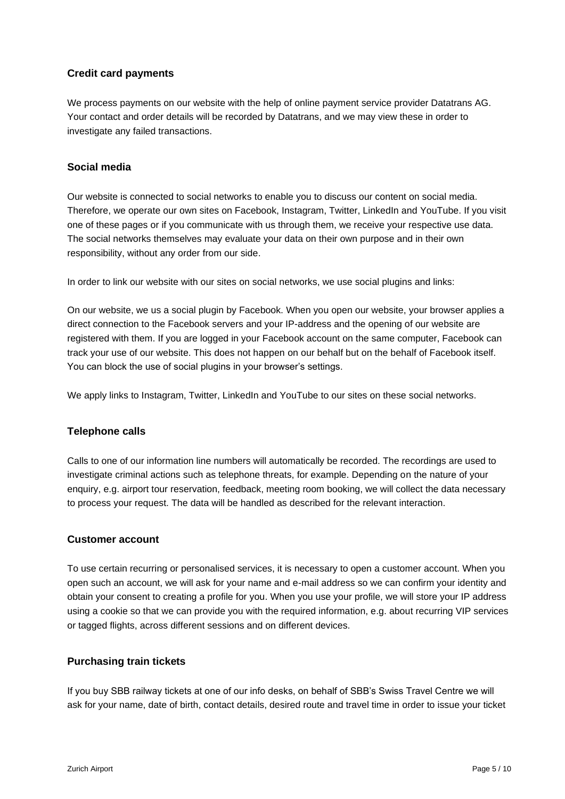# **Credit card payments**

We process payments on our website with the help of online payment service provider Datatrans AG. Your contact and order details will be recorded by Datatrans, and we may view these in order to investigate any failed transactions.

#### **Social media**

Our website is connected to social networks to enable you to discuss our content on social media. Therefore, we operate our own sites on Facebook, Instagram, Twitter, LinkedIn and YouTube. If you visit one of these pages or if you communicate with us through them, we receive your respective use data. The social networks themselves may evaluate your data on their own purpose and in their own responsibility, without any order from our side.

In order to link our website with our sites on social networks, we use social plugins and links:

On our website, we us a social plugin by Facebook. When you open our website, your browser applies a direct connection to the Facebook servers and your IP-address and the opening of our website are registered with them. If you are logged in your Facebook account on the same computer, Facebook can track your use of our website. This does not happen on our behalf but on the behalf of Facebook itself. You can block the use of social plugins in your browser's settings.

We apply links to Instagram, Twitter, LinkedIn and YouTube to our sites on these social networks.

#### **Telephone calls**

Calls to one of our information line numbers will automatically be recorded. The recordings are used to investigate criminal actions such as telephone threats, for example. Depending on the nature of your enquiry, e.g. airport tour reservation, feedback, meeting room booking, we will collect the data necessary to process your request. The data will be handled as described for the relevant interaction.

#### **Customer account**

To use certain recurring or personalised services, it is necessary to open a customer account. When you open such an account, we will ask for your name and e-mail address so we can confirm your identity and obtain your consent to creating a profile for you. When you use your profile, we will store your IP address using a cookie so that we can provide you with the required information, e.g. about recurring VIP services or tagged flights, across different sessions and on different devices.

#### **Purchasing train tickets**

If you buy SBB railway tickets at one of our info desks, on behalf of SBB's Swiss Travel Centre we will ask for your name, date of birth, contact details, desired route and travel time in order to issue your ticket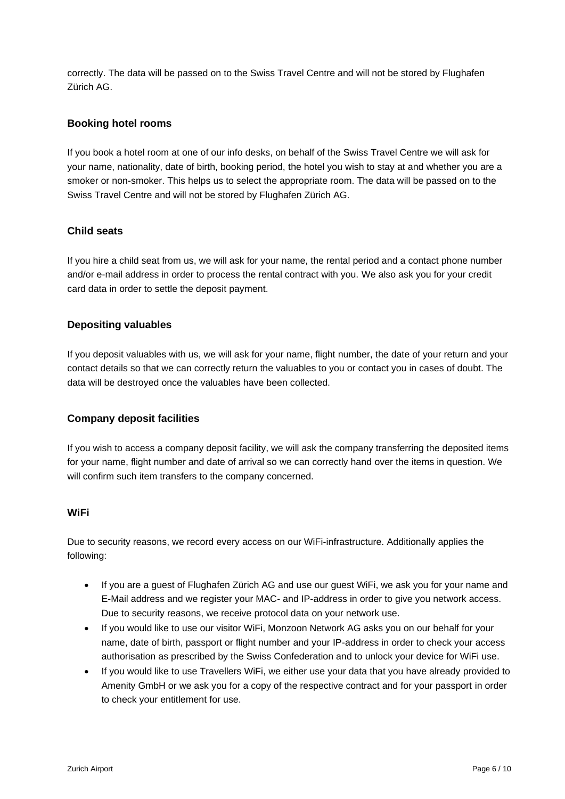correctly. The data will be passed on to the Swiss Travel Centre and will not be stored by Flughafen Zürich AG.

### **Booking hotel rooms**

If you book a hotel room at one of our info desks, on behalf of the Swiss Travel Centre we will ask for your name, nationality, date of birth, booking period, the hotel you wish to stay at and whether you are a smoker or non-smoker. This helps us to select the appropriate room. The data will be passed on to the Swiss Travel Centre and will not be stored by Flughafen Zürich AG.

#### **Child seats**

If you hire a child seat from us, we will ask for your name, the rental period and a contact phone number and/or e-mail address in order to process the rental contract with you. We also ask you for your credit card data in order to settle the deposit payment.

#### **Depositing valuables**

If you deposit valuables with us, we will ask for your name, flight number, the date of your return and your contact details so that we can correctly return the valuables to you or contact you in cases of doubt. The data will be destroyed once the valuables have been collected.

#### **Company deposit facilities**

If you wish to access a company deposit facility, we will ask the company transferring the deposited items for your name, flight number and date of arrival so we can correctly hand over the items in question. We will confirm such item transfers to the company concerned.

#### **WiFi**

Due to security reasons, we record every access on our WiFi-infrastructure. Additionally applies the following:

- If you are a guest of Flughafen Zürich AG and use our guest WiFi, we ask you for your name and E-Mail address and we register your MAC- and IP-address in order to give you network access. Due to security reasons, we receive protocol data on your network use.
- If you would like to use our visitor WiFi, Monzoon Network AG asks you on our behalf for your name, date of birth, passport or flight number and your IP-address in order to check your access authorisation as prescribed by the Swiss Confederation and to unlock your device for WiFi use.
- If you would like to use Travellers WiFi, we either use your data that you have already provided to Amenity GmbH or we ask you for a copy of the respective contract and for your passport in order to check your entitlement for use.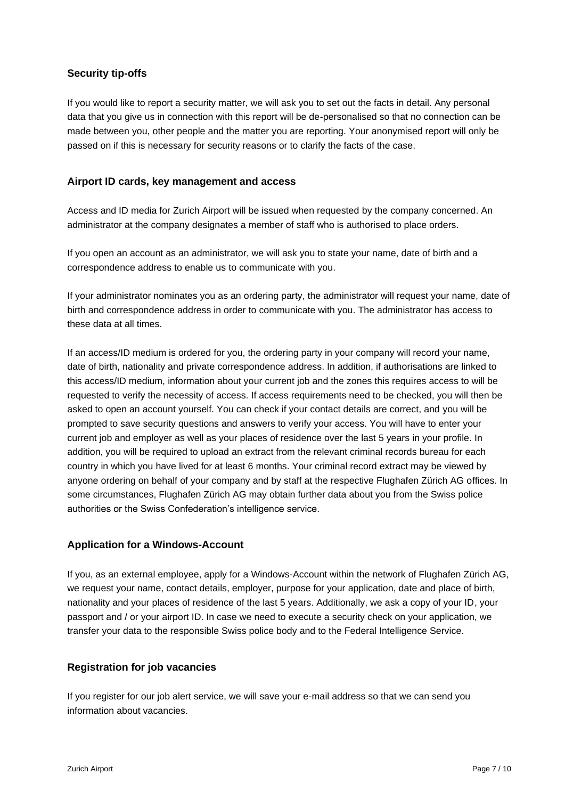# **Security tip-offs**

If you would like to report a security matter, we will ask you to set out the facts in detail. Any personal data that you give us in connection with this report will be de-personalised so that no connection can be made between you, other people and the matter you are reporting. Your anonymised report will only be passed on if this is necessary for security reasons or to clarify the facts of the case.

#### **Airport ID cards, key management and access**

Access and ID media for Zurich Airport will be issued when requested by the company concerned. An administrator at the company designates a member of staff who is authorised to place orders.

If you open an account as an administrator, we will ask you to state your name, date of birth and a correspondence address to enable us to communicate with you.

If your administrator nominates you as an ordering party, the administrator will request your name, date of birth and correspondence address in order to communicate with you. The administrator has access to these data at all times.

If an access/ID medium is ordered for you, the ordering party in your company will record your name, date of birth, nationality and private correspondence address. In addition, if authorisations are linked to this access/ID medium, information about your current job and the zones this requires access to will be requested to verify the necessity of access. If access requirements need to be checked, you will then be asked to open an account yourself. You can check if your contact details are correct, and you will be prompted to save security questions and answers to verify your access. You will have to enter your current job and employer as well as your places of residence over the last 5 years in your profile. In addition, you will be required to upload an extract from the relevant criminal records bureau for each country in which you have lived for at least 6 months. Your criminal record extract may be viewed by anyone ordering on behalf of your company and by staff at the respective Flughafen Zürich AG offices. In some circumstances, Flughafen Zürich AG may obtain further data about you from the Swiss police authorities or the Swiss Confederation's intelligence service.

#### **Application for a Windows-Account**

If you, as an external employee, apply for a Windows-Account within the network of Flughafen Zürich AG, we request your name, contact details, employer, purpose for your application, date and place of birth, nationality and your places of residence of the last 5 years. Additionally, we ask a copy of your ID, your passport and / or your airport ID. In case we need to execute a security check on your application, we transfer your data to the responsible Swiss police body and to the Federal Intelligence Service.

#### **Registration for job vacancies**

If you register for our job alert service, we will save your e-mail address so that we can send you information about vacancies.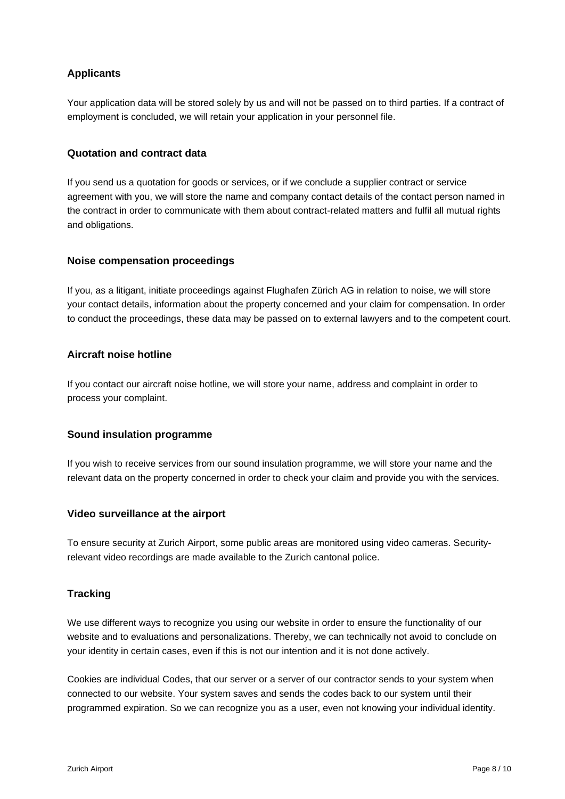# **Applicants**

Your application data will be stored solely by us and will not be passed on to third parties. If a contract of employment is concluded, we will retain your application in your personnel file.

# **Quotation and contract data**

If you send us a quotation for goods or services, or if we conclude a supplier contract or service agreement with you, we will store the name and company contact details of the contact person named in the contract in order to communicate with them about contract-related matters and fulfil all mutual rights and obligations.

#### **Noise compensation proceedings**

If you, as a litigant, initiate proceedings against Flughafen Zürich AG in relation to noise, we will store your contact details, information about the property concerned and your claim for compensation. In order to conduct the proceedings, these data may be passed on to external lawyers and to the competent court.

#### **Aircraft noise hotline**

If you contact our aircraft noise hotline, we will store your name, address and complaint in order to process your complaint.

#### **Sound insulation programme**

If you wish to receive services from our sound insulation programme, we will store your name and the relevant data on the property concerned in order to check your claim and provide you with the services.

#### **Video surveillance at the airport**

To ensure security at Zurich Airport, some public areas are monitored using video cameras. Securityrelevant video recordings are made available to the Zurich cantonal police.

#### **Tracking**

We use different ways to recognize you using our website in order to ensure the functionality of our website and to evaluations and personalizations. Thereby, we can technically not avoid to conclude on your identity in certain cases, even if this is not our intention and it is not done actively.

Cookies are individual Codes, that our server or a server of our contractor sends to your system when connected to our website. Your system saves and sends the codes back to our system until their programmed expiration. So we can recognize you as a user, even not knowing your individual identity.